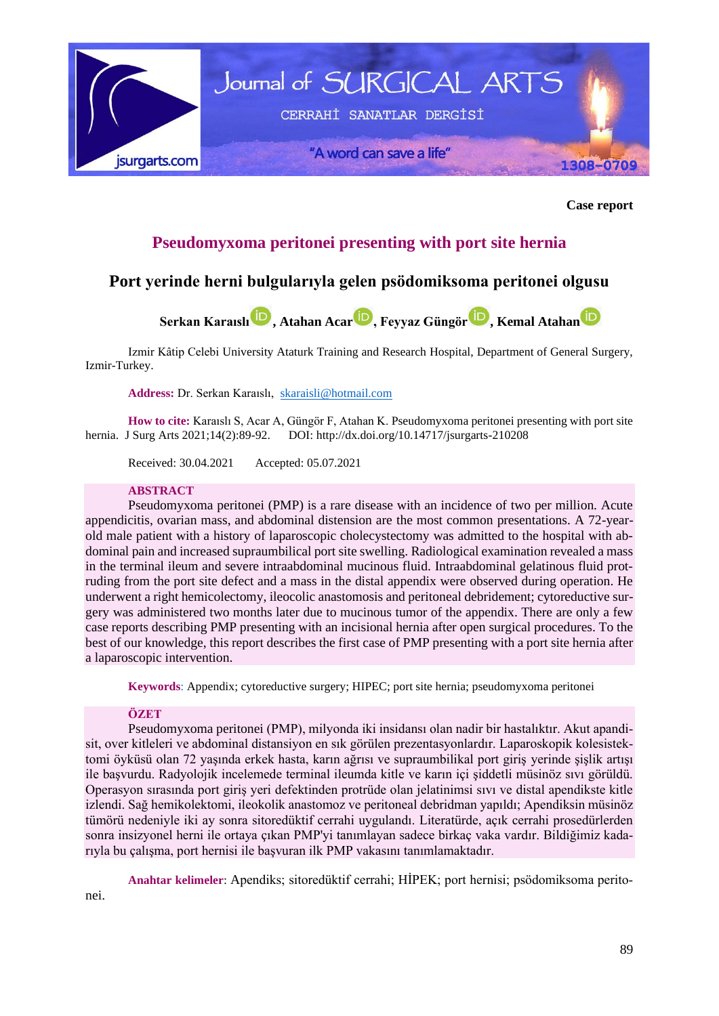

**Case report**

# **Pseudomyxoma peritonei presenting with port site hernia**

## **Port yerinde herni bulgularıyla gelen psödomiksoma peritonei olgusu**



Izmir Kâtip Celebi University Ataturk Training and Research Hospital, Department of General Surgery, Izmir-Turkey.

## **Address:** Dr. Serkan Karaıslı, [skaraisli@hotmail.com](mailto:skaraisli@hotmail.com)

**How to cite:** Karaıslı S, Acar A, Güngör F, Atahan K. Pseudomyxoma peritonei presenting with port site hernia. J Surg Arts 2021;14(2):89-92. DOI: <http://dx.doi.org/10.14717/jsurgarts-210208>

Received: 30.04.2021 Accepted: 05.07.2021

## **ABSTRACT**

Pseudomyxoma peritonei (PMP) is a rare disease with an incidence of two per million. Acute appendicitis, ovarian mass, and abdominal distension are the most common presentations. A 72-yearold male patient with a history of laparoscopic cholecystectomy was admitted to the hospital with abdominal pain and increased supraumbilical port site swelling. Radiological examination revealed a mass in the terminal ileum and severe intraabdominal mucinous fluid. Intraabdominal gelatinous fluid protruding from the port site defect and a mass in the distal appendix were observed during operation. He underwent a right hemicolectomy, ileocolic anastomosis and peritoneal debridement; cytoreductive surgery was administered two months later due to mucinous tumor of the appendix. There are only a few case reports describing PMP presenting with an incisional hernia after open surgical procedures. To the best of our knowledge, this report describes the first case of PMP presenting with a port site hernia after a laparoscopic intervention.

**Keywords**: Appendix; cytoreductive surgery; HIPEC; port site hernia; pseudomyxoma peritonei

#### **ÖZET**

nei.

Pseudomyxoma peritonei (PMP), milyonda iki insidansı olan nadir bir hastalıktır. Akut apandisit, over kitleleri ve abdominal distansiyon en sık görülen prezentasyonlardır. Laparoskopik kolesistektomi öyküsü olan 72 yaşında erkek hasta, karın ağrısı ve supraumbilikal port giriş yerinde şişlik artışı ile başvurdu. Radyolojik incelemede terminal ileumda kitle ve karın içi şiddetli müsinöz sıvı görüldü. Operasyon sırasında port giriş yeri defektinden protrüde olan jelatinimsi sıvı ve distal apendikste kitle izlendi. Sağ hemikolektomi, ileokolik anastomoz ve peritoneal debridman yapıldı; Apendiksin müsinöz tümörü nedeniyle iki ay sonra sitoredüktif cerrahi uygulandı. Literatürde, açık cerrahi prosedürlerden sonra insizyonel herni ile ortaya çıkan PMP'yi tanımlayan sadece birkaç vaka vardır. Bildiğimiz kadarıyla bu çalışma, port hernisi ile başvuran ilk PMP vakasını tanımlamaktadır.

**Anahtar kelimeler**: Apendiks; sitoredüktif cerrahi; HİPEK; port hernisi; psödomiksoma perito-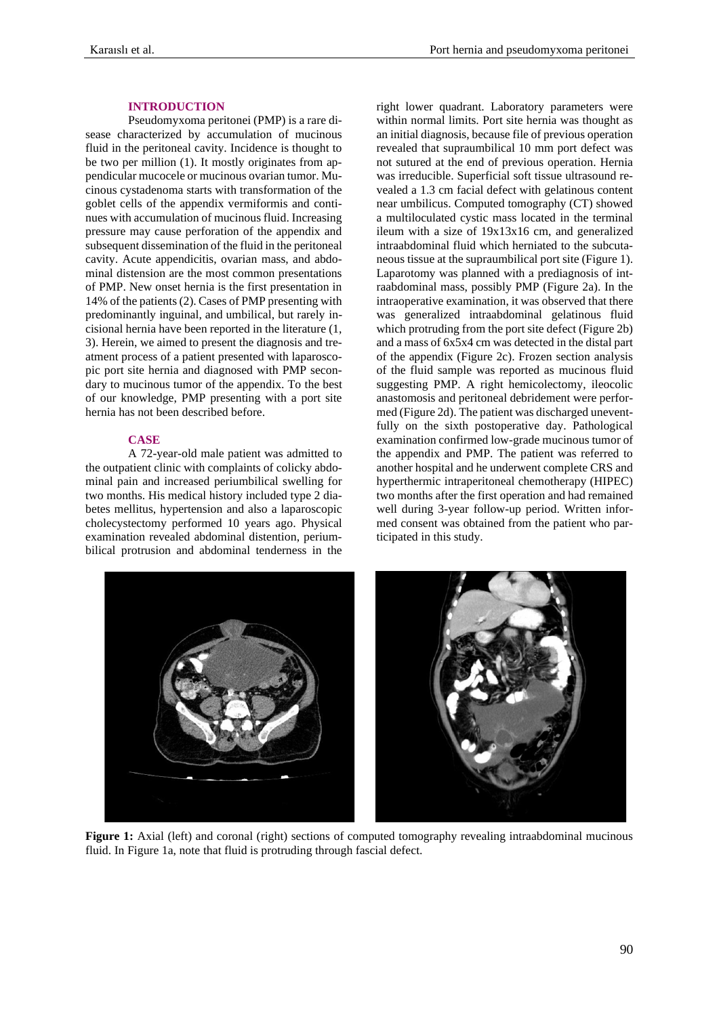## **INTRODUCTION**

Pseudomyxoma peritonei (PMP) is a rare disease characterized by accumulation of mucinous fluid in the peritoneal cavity. Incidence is thought to be two per million (1). It mostly originates from appendicular mucocele or mucinous ovarian tumor. Mucinous cystadenoma starts with transformation of the goblet cells of the appendix vermiformis and continues with accumulation of mucinous fluid. Increasing pressure may cause perforation of the appendix and subsequent dissemination of the fluid in the peritoneal cavity. Acute appendicitis, ovarian mass, and abdominal distension are the most common presentations of PMP. New onset hernia is the first presentation in 14% of the patients (2). Cases of PMP presenting with predominantly inguinal, and umbilical, but rarely incisional hernia have been reported in the literature (1, 3). Herein, we aimed to present the diagnosis and treatment process of a patient presented with laparoscopic port site hernia and diagnosed with PMP secondary to mucinous tumor of the appendix. To the best of our knowledge, PMP presenting with a port site hernia has not been described before.

## **CASE**

A 72-year-old male patient was admitted to the outpatient clinic with complaints of colicky abdominal pain and increased periumbilical swelling for two months. His medical history included type 2 diabetes mellitus, hypertension and also a laparoscopic cholecystectomy performed 10 years ago. Physical examination revealed abdominal distention, periumbilical protrusion and abdominal tenderness in the right lower quadrant. Laboratory parameters were within normal limits. Port site hernia was thought as an initial diagnosis, because file of previous operation revealed that supraumbilical 10 mm port defect was not sutured at the end of previous operation. Hernia was irreducible. Superficial soft tissue ultrasound revealed a 1.3 cm facial defect with gelatinous content near umbilicus. Computed tomography (CT) showed a multiloculated cystic mass located in the terminal ileum with a size of 19x13x16 cm, and generalized intraabdominal fluid which herniated to the subcutaneous tissue at the supraumbilical port site (Figure 1). Laparotomy was planned with a prediagnosis of intraabdominal mass, possibly PMP (Figure 2a). In the intraoperative examination, it was observed that there was generalized intraabdominal gelatinous fluid which protruding from the port site defect (Figure 2b) and a mass of 6x5x4 cm was detected in the distal part of the appendix (Figure 2c). Frozen section analysis of the fluid sample was reported as mucinous fluid suggesting PMP. A right hemicolectomy, ileocolic anastomosis and peritoneal debridement were performed (Figure 2d). The patient was discharged uneventfully on the sixth postoperative day. Pathological examination confirmed low-grade mucinous tumor of the appendix and PMP. The patient was referred to another hospital and he underwent complete CRS and hyperthermic intraperitoneal chemotherapy (HIPEC) two months after the first operation and had remained well during 3-year follow-up period. Written informed consent was obtained from the patient who participated in this study.



**Figure 1:** Axial (left) and coronal (right) sections of computed tomography revealing intraabdominal mucinous fluid. In Figure 1a, note that fluid is protruding through fascial defect.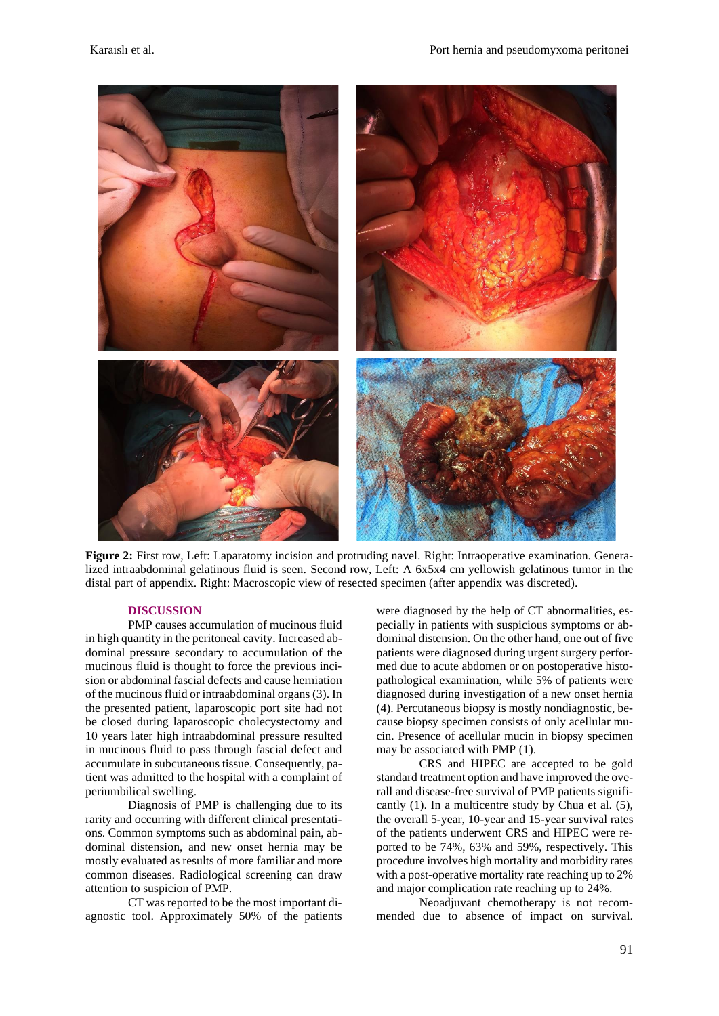

**Figure 2:** First row, Left: Laparatomy incision and protruding navel. Right: Intraoperative examination. Generalized intraabdominal gelatinous fluid is seen. Second row, Left: A 6x5x4 cm yellowish gelatinous tumor in the distal part of appendix. Right: Macroscopic view of resected specimen (after appendix was discreted).

## **DISCUSSION**

PMP causes accumulation of mucinous fluid in high quantity in the peritoneal cavity. Increased abdominal pressure secondary to accumulation of the mucinous fluid is thought to force the previous incision or abdominal fascial defects and cause herniation of the mucinous fluid or intraabdominal organs (3). In the presented patient, laparoscopic port site had not be closed during laparoscopic cholecystectomy and 10 years later high intraabdominal pressure resulted in mucinous fluid to pass through fascial defect and accumulate in subcutaneous tissue. Consequently, patient was admitted to the hospital with a complaint of periumbilical swelling.

Diagnosis of PMP is challenging due to its rarity and occurring with different clinical presentations. Common symptoms such as abdominal pain, abdominal distension, and new onset hernia may be mostly evaluated as results of more familiar and more common diseases. Radiological screening can draw attention to suspicion of PMP.

CT was reported to be the most important diagnostic tool. Approximately 50% of the patients were diagnosed by the help of CT abnormalities, especially in patients with suspicious symptoms or abdominal distension. On the other hand, one out of five patients were diagnosed during urgent surgery performed due to acute abdomen or on postoperative histopathological examination, while 5% of patients were diagnosed during investigation of a new onset hernia (4). Percutaneous biopsy is mostly nondiagnostic, because biopsy specimen consists of only acellular mucin. Presence of acellular mucin in biopsy specimen may be associated with PMP (1).

CRS and HIPEC are accepted to be gold standard treatment option and have improved the overall and disease-free survival of PMP patients significantly (1). In a multicentre study by Chua et al. (5), the overall 5-year, 10-year and 15-year survival rates of the patients underwent CRS and HIPEC were reported to be 74%, 63% and 59%, respectively. This procedure involves high mortality and morbidity rates with a post-operative mortality rate reaching up to 2% and major complication rate reaching up to 24%.

Neoadjuvant chemotherapy is not recommended due to absence of impact on survival.